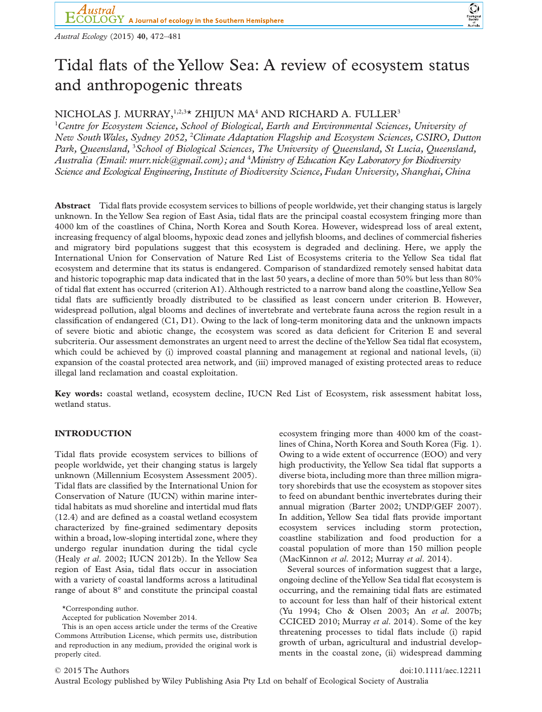

*Austral Ecology* (2015) **40**, 472–481

bs\_bs\_banner

# Tidal flats of the Yellow Sea: A review of ecosystem status and anthropogenic threats

# NICHOLAS I. MURRAY,  $1,2,3*$  ZHIJUN MA<sup>4</sup> AND RICHARD A. FULLER<sup>3</sup>

1 *Centre for Ecosystem Science, School of Biological, Earth and Environmental Sciences, University of New SouthWales, Sydney 2052,* <sup>2</sup> *Climate Adaptation Flagship and Ecosystem Sciences, CSIRO, Dutton* Park, Queensland, <sup>3</sup> School of Biological Sciences, The University of Queensland, St Lucia, Queensland, *Australia (Email: [murr.nick@gmail.com\)](mailto:murr.nick@gmail.com); and* <sup>4</sup> *Ministry of Education Key Laboratory for Biodiversity Science and Ecological Engineering,Institute of Biodiversity Science, Fudan University, Shanghai, China*

**Abstract** Tidal flats provide ecosystem services to billions of people worldwide, yet their changing status is largely unknown. In the Yellow Sea region of East Asia, tidal flats are the principal coastal ecosystem fringing more than 4000 km of the coastlines of China, North Korea and South Korea. However, widespread loss of areal extent, increasing frequency of algal blooms, hypoxic dead zones and jellyfish blooms, and declines of commercial fisheries and migratory bird populations suggest that this ecosystem is degraded and declining. Here, we apply the International Union for Conservation of Nature Red List of Ecosystems criteria to the Yellow Sea tidal flat ecosystem and determine that its status is endangered. Comparison of standardized remotely sensed habitat data and historic topographic map data indicated that in the last 50 years, a decline of more than 50% but less than 80% of tidal flat extent has occurred (criterion A1). Although restricted to a narrow band along the coastline,Yellow Sea tidal flats are sufficiently broadly distributed to be classified as least concern under criterion B. However, widespread pollution, algal blooms and declines of invertebrate and vertebrate fauna across the region result in a classification of endangered  $(C1, D1)$ . Owing to the lack of long-term monitoring data and the unknown impacts of severe biotic and abiotic change, the ecosystem was scored as data deficient for Criterion E and several subcriteria. Our assessment demonstrates an urgent need to arrest the decline of theYellow Sea tidal flat ecosystem, which could be achieved by (i) improved coastal planning and management at regional and national levels, (ii) expansion of the coastal protected area network, and (iii) improved managed of existing protected areas to reduce illegal land reclamation and coastal exploitation.

**Key words:** coastal wetland, ecosystem decline, IUCN Red List of Ecosystem, risk assessment habitat loss, wetland status.

# **INTRODUCTION**

Tidal flats provide ecosystem services to billions of people worldwide, yet their changing status is largely unknown (Millennium Ecosystem Assessment 2005). Tidal flats are classified by the International Union for Conservation of Nature (IUCN) within marine intertidal habitats as mud shoreline and intertidal mud flats (12.4) and are defined as a coastal wetland ecosystem characterized by fine-grained sedimentary deposits within a broad, low-sloping intertidal zone, where they undergo regular inundation during the tidal cycle (Healy *et al*. 2002; IUCN 2012b). In the Yellow Sea region of East Asia, tidal flats occur in association with a variety of coastal landforms across a latitudinal range of about 8° and constitute the principal coastal

\*Corresponding author.

Accepted for publication November 2014.

ecosystem fringing more than 4000 km of the coastlines of China, North Korea and South Korea (Fig. 1). Owing to a wide extent of occurrence (EOO) and very high productivity, the Yellow Sea tidal flat supports a diverse biota, including more than three million migratory shorebirds that use the ecosystem as stopover sites to feed on abundant benthic invertebrates during their annual migration (Barter 2002; UNDP/GEF 2007). In addition, Yellow Sea tidal flats provide important ecosystem services including storm protection, coastline stabilization and food production for a coastal population of more than 150 million people (MacKinnon *et al*. 2012; Murray *et al*. 2014).

Several sources of information suggest that a large, ongoing decline of theYellow Sea tidal flat ecosystem is occurring, and the remaining tidal flats are estimated to account for less than half of their historical extent (Yu 1994; Cho & Olsen 2003; An *et al*. 2007b; CCICED 2010; Murray *et al*. 2014). Some of the key threatening processes to tidal flats include (i) rapid growth of urban, agricultural and industrial developments in the coastal zone, (ii) widespread damming

This is an open access article under the terms of the [Creative](http://creativecommons.org/licenses/by/4.0/) [Commons Attribution](http://creativecommons.org/licenses/by/4.0/) License, which permits use, distribution and reproduction in any medium, provided the original work is properly cited.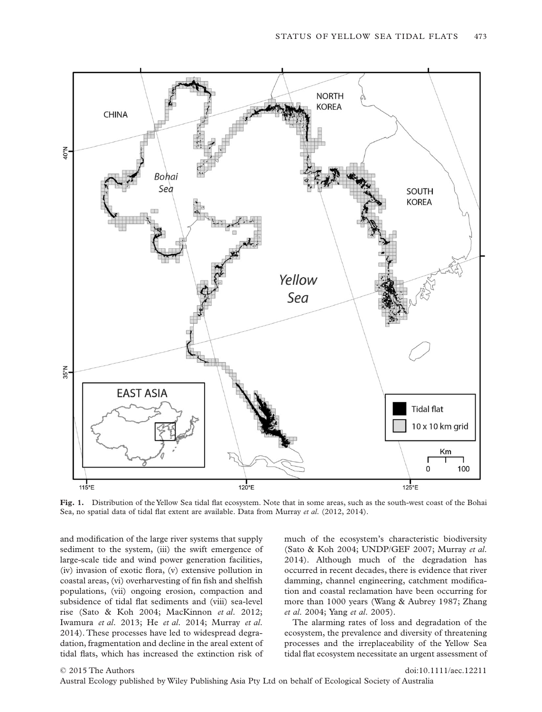

**Fig. 1.** Distribution of the Yellow Sea tidal flat ecosystem. Note that in some areas, such as the south-west coast of the Bohai Sea, no spatial data of tidal flat extent are available. Data from Murray *et al*. (2012, 2014).

and modification of the large river systems that supply sediment to the system, (iii) the swift emergence of large-scale tide and wind power generation facilities, (iv) invasion of exotic flora, (v) extensive pollution in coastal areas, (vi) overharvesting of fin fish and shelfish populations, (vii) ongoing erosion, compaction and subsidence of tidal flat sediments and (viii) sea-level rise (Sato & Koh 2004; MacKinnon *et al*. 2012; Iwamura *et al*. 2013; He *et al*. 2014; Murray *et al*. 2014). These processes have led to widespread degradation, fragmentation and decline in the areal extent of tidal flats, which has increased the extinction risk of

much of the ecosystem's characteristic biodiversity (Sato & Koh 2004; UNDP/GEF 2007; Murray *et al*. 2014). Although much of the degradation has occurred in recent decades, there is evidence that river damming, channel engineering, catchment modification and coastal reclamation have been occurring for more than 1000 years (Wang & Aubrey 1987; Zhang *et al*. 2004; Yang *et al*. 2005).

The alarming rates of loss and degradation of the ecosystem, the prevalence and diversity of threatening processes and the irreplaceability of the Yellow Sea tidal flat ecosystem necessitate an urgent assessment of

© 2015 The Authors doi:10.1111/aec.12211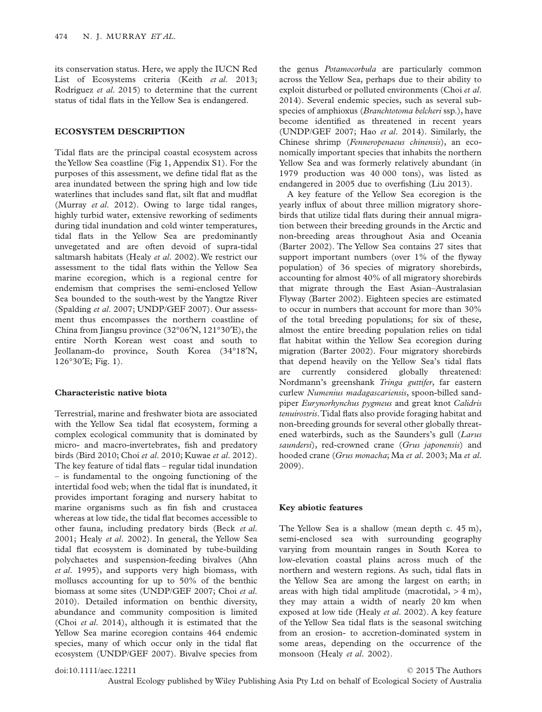its conservation status. Here, we apply the IUCN Red List of Ecosystems criteria (Keith *et al*. 2013; Rodríguez *et al*. 2015) to determine that the current status of tidal flats in the Yellow Sea is endangered.

### **ECOSYSTEM DESCRIPTION**

Tidal flats are the principal coastal ecosystem across the Yellow Sea coastline (Fig 1, Appendix S1). For the purposes of this assessment, we define tidal flat as the area inundated between the spring high and low tide waterlines that includes sand flat, silt flat and mudflat (Murray *et al*. 2012). Owing to large tidal ranges, highly turbid water, extensive reworking of sediments during tidal inundation and cold winter temperatures, tidal flats in the Yellow Sea are predominantly unvegetated and are often devoid of supra-tidal saltmarsh habitats (Healy *et al*. 2002).We restrict our assessment to the tidal flats within the Yellow Sea marine ecoregion, which is a regional centre for endemism that comprises the semi-enclosed Yellow Sea bounded to the south-west by the Yangtze River (Spalding *et al*. 2007; UNDP/GEF 2007). Our assessment thus encompasses the northern coastline of China from Jiangsu province (32°06′N, 121°30′E), the entire North Korean west coast and south to Jeollanam-do province, South Korea (34°18′N, 126°30′E; Fig. 1).

# **Characteristic native biota**

Terrestrial, marine and freshwater biota are associated with the Yellow Sea tidal flat ecosystem, forming a complex ecological community that is dominated by micro- and macro-invertebrates, fish and predatory birds (Bird 2010; Choi *et al*. 2010; Kuwae *et al*. 2012). The key feature of tidal flats – regular tidal inundation – is fundamental to the ongoing functioning of the intertidal food web; when the tidal flat is inundated, it provides important foraging and nursery habitat to marine organisms such as fin fish and crustacea whereas at low tide, the tidal flat becomes accessible to other fauna, including predatory birds (Beck *et al*. 2001; Healy *et al*. 2002). In general, the Yellow Sea tidal flat ecosystem is dominated by tube-building polychaetes and suspension-feeding bivalves (Ahn *et al*. 1995), and supports very high biomass, with molluscs accounting for up to 50% of the benthic biomass at some sites (UNDP/GEF 2007; Choi *et al*. 2010). Detailed information on benthic diversity, abundance and community composition is limited (Choi *et al*. 2014), although it is estimated that the Yellow Sea marine ecoregion contains 464 endemic species, many of which occur only in the tidal flat ecosystem (UNDP/GEF 2007). Bivalve species from the genus *Potamocorbula* are particularly common across the Yellow Sea, perhaps due to their ability to exploit disturbed or polluted environments (Choi *et al*. 2014). Several endemic species, such as several subspecies of amphioxus (*Branchtotoma belcheri* ssp.), have become identified as threatened in recent years (UNDP/GEF 2007; Hao *et al*. 2014). Similarly, the Chinese shrimp (*Fenneropenaeus chinensis*), an economically important species that inhabits the northern Yellow Sea and was formerly relatively abundant (in 1979 production was 40 000 tons), was listed as endangered in 2005 due to overfishing (Liu 2013).

A key feature of the Yellow Sea ecoregion is the yearly influx of about three million migratory shorebirds that utilize tidal flats during their annual migration between their breeding grounds in the Arctic and non-breeding areas throughout Asia and Oceania (Barter 2002). The Yellow Sea contains 27 sites that support important numbers (over 1% of the flyway population) of 36 species of migratory shorebirds, accounting for almost 40% of all migratory shorebirds that migrate through the East Asian–Australasian Flyway (Barter 2002). Eighteen species are estimated to occur in numbers that account for more than 30% of the total breeding populations; for six of these, almost the entire breeding population relies on tidal flat habitat within the Yellow Sea ecoregion during migration (Barter 2002). Four migratory shorebirds that depend heavily on the Yellow Sea's tidal flats are currently considered globally threatened: Nordmann's greenshank *Tringa guttifer*, far eastern curlew *Numenius madagascariensis*, spoon-billed sandpiper *Eurynorhynchus pygmeus* and great knot *Calidris tenuirostris*.Tidal flats also provide foraging habitat and non-breeding grounds for several other globally threatened waterbirds, such as the Saunders's gull (*Larus saundersi*), red-crowned crane (*Grus japonensis*) and hooded crane (*Grus monacha*; Ma *et al*. 2003; Ma *et al*. 2009).

#### **Key abiotic features**

The Yellow Sea is a shallow (mean depth c. 45 m), semi-enclosed sea with surrounding geography varying from mountain ranges in South Korea to low-elevation coastal plains across much of the northern and western regions. As such, tidal flats in the Yellow Sea are among the largest on earth; in areas with high tidal amplitude (macrotidal,  $> 4$  m), they may attain a width of nearly 20 km when exposed at low tide (Healy *et al*. 2002). A key feature of the Yellow Sea tidal flats is the seasonal switching from an erosion- to accretion-dominated system in some areas, depending on the occurrence of the monsoon (Healy *et al*. 2002).

## doi:10.1111/aec.12211 © 2015 The Authors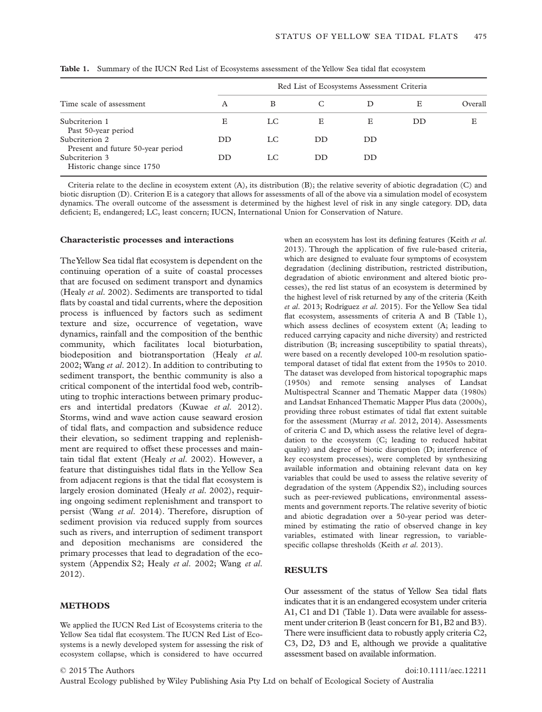| Time scale of assessment                            | Red List of Ecosystems Assessment Criteria |     |           |    |    |         |
|-----------------------------------------------------|--------------------------------------------|-----|-----------|----|----|---------|
|                                                     | A                                          | B   |           |    | E  | Overall |
| Subcriterion 1<br>Past 50-year period               | Е                                          | LC. | E         | Ε  | DD | Е       |
| Subcriterion 2<br>Present and future 50-year period | DD                                         | LC  | <b>DD</b> | DD |    |         |
| Subcriterion 3<br>Historic change since 1750        | DD.                                        | LC  | DD        | DD |    |         |

**Table 1.** Summary of the IUCN Red List of Ecosystems assessment of the Yellow Sea tidal flat ecosystem

Criteria relate to the decline in ecosystem extent (A), its distribution (B); the relative severity of abiotic degradation (C) and biotic disruption (D). Criterion E is a category that allows for assessments of all of the above via a simulation model of ecosystem dynamics. The overall outcome of the assessment is determined by the highest level of risk in any single category. DD, data deficient; E, endangered; LC, least concern; IUCN, International Union for Conservation of Nature.

#### **Characteristic processes and interactions**

TheYellow Sea tidal flat ecosystem is dependent on the continuing operation of a suite of coastal processes that are focused on sediment transport and dynamics (Healy *et al*. 2002). Sediments are transported to tidal flats by coastal and tidal currents, where the deposition process is influenced by factors such as sediment texture and size, occurrence of vegetation, wave dynamics, rainfall and the composition of the benthic community, which facilitates local bioturbation, biodeposition and biotransportation (Healy *et al*. 2002; Wang *et al*. 2012). In addition to contributing to sediment transport, the benthic community is also a critical component of the intertidal food web, contributing to trophic interactions between primary producers and intertidal predators (Kuwae *et al*. 2012). Storms, wind and wave action cause seaward erosion of tidal flats, and compaction and subsidence reduce their elevation, so sediment trapping and replenishment are required to offset these processes and maintain tidal flat extent (Healy *et al*. 2002). However, a feature that distinguishes tidal flats in the Yellow Sea from adjacent regions is that the tidal flat ecosystem is largely erosion dominated (Healy *et al*. 2002), requiring ongoing sediment replenishment and transport to persist (Wang *et al*. 2014). Therefore, disruption of sediment provision via reduced supply from sources such as rivers, and interruption of sediment transport and deposition mechanisms are considered the primary processes that lead to degradation of the ecosystem (Appendix S2; Healy *et al*. 2002; Wang *et al*. 2012).

### **METHODS**

We applied the IUCN Red List of Ecosystems criteria to the Yellow Sea tidal flat ecosystem. The IUCN Red List of Ecosystems is a newly developed system for assessing the risk of ecosystem collapse, which is considered to have occurred

when an ecosystem has lost its defining features (Keith *et al*. 2013). Through the application of five rule-based criteria, which are designed to evaluate four symptoms of ecosystem degradation (declining distribution, restricted distribution, degradation of abiotic environment and altered biotic processes), the red list status of an ecosystem is determined by the highest level of risk returned by any of the criteria (Keith *et al*. 2013; Rodríguez *et al*. 2015). For the Yellow Sea tidal flat ecosystem, assessments of criteria A and B (Table 1), which assess declines of ecosystem extent (A; leading to reduced carrying capacity and niche diversity) and restricted distribution (B; increasing susceptibility to spatial threats), were based on a recently developed 100-m resolution spatiotemporal dataset of tidal flat extent from the 1950s to 2010. The dataset was developed from historical topographic maps (1950s) and remote sensing analyses of Landsat Multispectral Scanner and Thematic Mapper data (1980s) and Landsat Enhanced Thematic Mapper Plus data (2000s), providing three robust estimates of tidal flat extent suitable for the assessment (Murray *et al*. 2012, 2014). Assessments of criteria C and D, which assess the relative level of degradation to the ecosystem (C; leading to reduced habitat quality) and degree of biotic disruption (D; interference of key ecosystem processes), were completed by synthesizing available information and obtaining relevant data on key variables that could be used to assess the relative severity of degradation of the system (Appendix S2), including sources such as peer-reviewed publications, environmental assessments and government reports.The relative severity of biotic and abiotic degradation over a 50-year period was determined by estimating the ratio of observed change in key variables, estimated with linear regression, to variablespecific collapse thresholds (Keith *et al*. 2013).

# **RESULTS**

Our assessment of the status of Yellow Sea tidal flats indicates that it is an endangered ecosystem under criteria A1, C1 and D1 (Table 1). Data were available for assessment under criterion B (least concern for B1, B2 and B3). There were insufficient data to robustly apply criteria C2, C3, D2, D3 and E, although we provide a qualitative assessment based on available information.

© 2015 The Authors doi:10.1111/aec.12211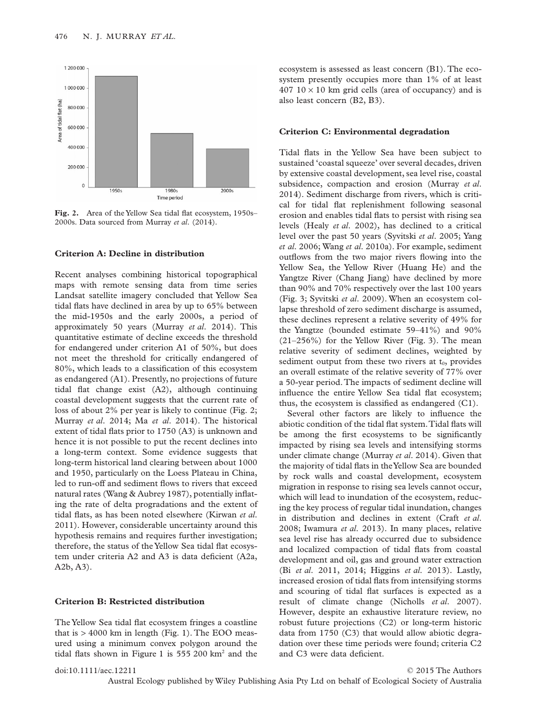

**Fig. 2.** Area of the Yellow Sea tidal flat ecosystem, 1950s– 2000s. Data sourced from Murray *et al*. (2014).

#### **Criterion A: Decline in distribution**

Recent analyses combining historical topographical maps with remote sensing data from time series Landsat satellite imagery concluded that Yellow Sea tidal flats have declined in area by up to 65% between the mid-1950s and the early 2000s, a period of approximately 50 years (Murray *et al*. 2014). This quantitative estimate of decline exceeds the threshold for endangered under criterion A1 of 50%, but does not meet the threshold for critically endangered of 80%, which leads to a classification of this ecosystem as endangered (A1). Presently, no projections of future tidal flat change exist (A2), although continuing coastal development suggests that the current rate of loss of about 2% per year is likely to continue (Fig. 2; Murray *et al*. 2014; Ma *et al*. 2014). The historical extent of tidal flats prior to 1750 (A3) is unknown and hence it is not possible to put the recent declines into a long-term context. Some evidence suggests that long-term historical land clearing between about 1000 and 1950, particularly on the Loess Plateau in China, led to run-off and sediment flows to rivers that exceed natural rates (Wang & Aubrey 1987), potentially inflating the rate of delta progradations and the extent of tidal flats, as has been noted elsewhere (Kirwan *et al*. 2011). However, considerable uncertainty around this hypothesis remains and requires further investigation; therefore, the status of the Yellow Sea tidal flat ecosystem under criteria A2 and A3 is data deficient (A2a, A2b, A3).

#### **Criterion B: Restricted distribution**

The Yellow Sea tidal flat ecosystem fringes a coastline that is > 4000 km in length (Fig. 1). The EOO measured using a minimum convex polygon around the tidal flats shown in Figure 1 is 555 200 km2 and the

ecosystem is assessed as least concern (B1). The ecosystem presently occupies more than 1% of at least  $407 \, 10 \times 10$  km grid cells (area of occupancy) and is also least concern (B2, B3).

#### **Criterion C: Environmental degradation**

Tidal flats in the Yellow Sea have been subject to sustained 'coastal squeeze' over several decades, driven by extensive coastal development, sea level rise, coastal subsidence, compaction and erosion (Murray *et al*. 2014). Sediment discharge from rivers, which is critical for tidal flat replenishment following seasonal erosion and enables tidal flats to persist with rising sea levels (Healy *et al*. 2002), has declined to a critical level over the past 50 years (Syvitski *et al*. 2005; Yang *et al*. 2006; Wang *et al*. 2010a). For example, sediment outflows from the two major rivers flowing into the Yellow Sea, the Yellow River (Huang He) and the Yangtze River (Chang Jiang) have declined by more than 90% and 70% respectively over the last 100 years (Fig. 3; Syvitski *et al*. 2009). When an ecosystem collapse threshold of zero sediment discharge is assumed, these declines represent a relative severity of 49% for the Yangtze (bounded estimate 59–41%) and 90% (21–256%) for the Yellow River (Fig. 3). The mean relative severity of sediment declines, weighted by sediment output from these two rivers at  $t_0$ , provides an overall estimate of the relative severity of 77% over a 50-year period.The impacts of sediment decline will influence the entire Yellow Sea tidal flat ecosystem; thus, the ecosystem is classified as endangered (C1).

Several other factors are likely to influence the abiotic condition of the tidal flat system.Tidal flats will be among the first ecosystems to be significantly impacted by rising sea levels and intensifying storms under climate change (Murray *et al*. 2014). Given that the majority of tidal flats in theYellow Sea are bounded by rock walls and coastal development, ecosystem migration in response to rising sea levels cannot occur, which will lead to inundation of the ecosystem, reducing the key process of regular tidal inundation, changes in distribution and declines in extent (Craft *et al*. 2008; Iwamura *et al*. 2013). In many places, relative sea level rise has already occurred due to subsidence and localized compaction of tidal flats from coastal development and oil, gas and ground water extraction (Bi *et al*. 2011, 2014; Higgins *et al*. 2013). Lastly, increased erosion of tidal flats from intensifying storms and scouring of tidal flat surfaces is expected as a result of climate change (Nicholls *et al*. 2007). However, despite an exhaustive literature review, no robust future projections (C2) or long-term historic data from 1750 (C3) that would allow abiotic degradation over these time periods were found; criteria C2 and C3 were data deficient.

doi:10.1111/aec.12211 © 2015 The Authors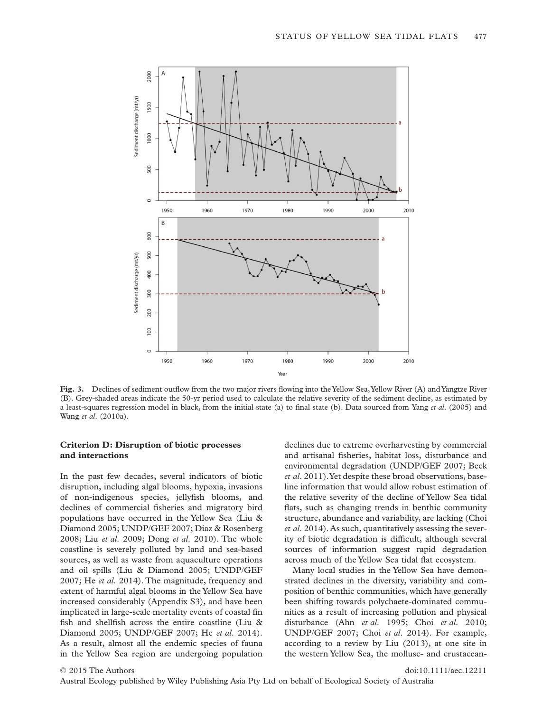

**Fig. 3.** Declines of sediment outflow from the two major rivers flowing into the Yellow Sea, Yellow River (A) and Yangtze River (B). Grey-shaded areas indicate the 50-yr period used to calculate the relative severity of the sediment decline, as estimated by a least-squares regression model in black, from the initial state (a) to final state (b). Data sourced from Yang *et al*. (2005) and Wang *et al*. (2010a).

# **Criterion D: Disruption of biotic processes and interactions**

In the past few decades, several indicators of biotic disruption, including algal blooms, hypoxia, invasions of non-indigenous species, jellyfish blooms, and declines of commercial fisheries and migratory bird populations have occurred in the Yellow Sea (Liu & Diamond 2005; UNDP/GEF 2007; Diaz & Rosenberg 2008; Liu *et al*. 2009; Dong *et al*. 2010). The whole coastline is severely polluted by land and sea-based sources, as well as waste from aquaculture operations and oil spills (Liu & Diamond 2005; UNDP/GEF 2007; He *et al*. 2014). The magnitude, frequency and extent of harmful algal blooms in the Yellow Sea have increased considerably (Appendix S3), and have been implicated in large-scale mortality events of coastal fin fish and shellfish across the entire coastline (Liu & Diamond 2005; UNDP/GEF 2007; He *et al*. 2014). As a result, almost all the endemic species of fauna in the Yellow Sea region are undergoing population

declines due to extreme overharvesting by commercial and artisanal fisheries, habitat loss, disturbance and environmental degradation (UNDP/GEF 2007; Beck *et al*. 2011).Yet despite these broad observations, baseline information that would allow robust estimation of the relative severity of the decline of Yellow Sea tidal flats, such as changing trends in benthic community structure, abundance and variability, are lacking (Choi *et al*. 2014). As such, quantitatively assessing the severity of biotic degradation is difficult, although several sources of information suggest rapid degradation across much of the Yellow Sea tidal flat ecosystem.

Many local studies in the Yellow Sea have demonstrated declines in the diversity, variability and composition of benthic communities, which have generally been shifting towards polychaete-dominated communities as a result of increasing pollution and physical disturbance (Ahn *et al*. 1995; Choi *et al*. 2010; UNDP/GEF 2007; Choi *et al*. 2014). For example, according to a review by Liu (2013), at one site in the western Yellow Sea, the mollusc- and crustacean-

 $\odot$  2015 The Authors doi:10.1111/aec.12211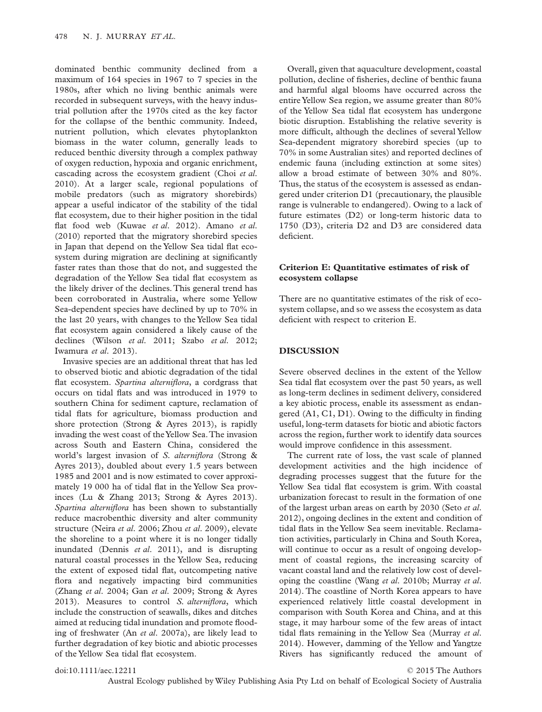dominated benthic community declined from a maximum of 164 species in 1967 to 7 species in the 1980s, after which no living benthic animals were recorded in subsequent surveys, with the heavy industrial pollution after the 1970s cited as the key factor for the collapse of the benthic community. Indeed, nutrient pollution, which elevates phytoplankton biomass in the water column, generally leads to reduced benthic diversity through a complex pathway of oxygen reduction, hypoxia and organic enrichment, cascading across the ecosystem gradient (Choi *et al*. 2010). At a larger scale, regional populations of mobile predators (such as migratory shorebirds) appear a useful indicator of the stability of the tidal flat ecosystem, due to their higher position in the tidal flat food web (Kuwae *et al*. 2012). Amano *et al*. (2010) reported that the migratory shorebird species in Japan that depend on the Yellow Sea tidal flat ecosystem during migration are declining at significantly faster rates than those that do not, and suggested the degradation of the Yellow Sea tidal flat ecosystem as the likely driver of the declines. This general trend has been corroborated in Australia, where some Yellow Sea-dependent species have declined by up to 70% in the last 20 years, with changes to the Yellow Sea tidal flat ecosystem again considered a likely cause of the declines (Wilson *et al*. 2011; Szabo *et al*. 2012; Iwamura *et al*. 2013).

Invasive species are an additional threat that has led to observed biotic and abiotic degradation of the tidal flat ecosystem. *Spartina alterniflora*, a cordgrass that occurs on tidal flats and was introduced in 1979 to southern China for sediment capture, reclamation of tidal flats for agriculture, biomass production and shore protection (Strong & Ayres 2013), is rapidly invading the west coast of theYellow Sea.The invasion across South and Eastern China, considered the world's largest invasion of *S. alterniflora* (Strong & Ayres 2013), doubled about every 1.5 years between 1985 and 2001 and is now estimated to cover approximately 19 000 ha of tidal flat in the Yellow Sea provinces (Lu & Zhang 2013; Strong & Ayres 2013). *Spartina alterniflora* has been shown to substantially reduce macrobenthic diversity and alter community structure (Neira *et al*. 2006; Zhou *et al*. 2009), elevate the shoreline to a point where it is no longer tidally inundated (Dennis *et al*. 2011), and is disrupting natural coastal processes in the Yellow Sea, reducing the extent of exposed tidal flat, outcompeting native flora and negatively impacting bird communities (Zhang *et al*. 2004; Gan *et al*. 2009; Strong & Ayres 2013). Measures to control *S. alterniflora*, which include the construction of seawalls, dikes and ditches aimed at reducing tidal inundation and promote flooding of freshwater (An *et al*. 2007a), are likely lead to further degradation of key biotic and abiotic processes of the Yellow Sea tidal flat ecosystem.

Overall, given that aquaculture development, coastal pollution, decline of fisheries, decline of benthic fauna and harmful algal blooms have occurred across the entire Yellow Sea region, we assume greater than 80% of the Yellow Sea tidal flat ecosystem has undergone biotic disruption. Establishing the relative severity is more difficult, although the declines of several Yellow Sea-dependent migratory shorebird species (up to 70% in some Australian sites) and reported declines of endemic fauna (including extinction at some sites) allow a broad estimate of between 30% and 80%. Thus, the status of the ecosystem is assessed as endangered under criterion D1 (precautionary, the plausible range is vulnerable to endangered). Owing to a lack of future estimates (D2) or long-term historic data to 1750 (D3), criteria D2 and D3 are considered data deficient.

### **Criterion E: Quantitative estimates of risk of ecosystem collapse**

There are no quantitative estimates of the risk of ecosystem collapse, and so we assess the ecosystem as data deficient with respect to criterion E.

#### **DISCUSSION**

Severe observed declines in the extent of the Yellow Sea tidal flat ecosystem over the past 50 years, as well as long-term declines in sediment delivery, considered a key abiotic process, enable its assessment as endangered (A1, C1, D1). Owing to the difficulty in finding useful, long-term datasets for biotic and abiotic factors across the region, further work to identify data sources would improve confidence in this assessment.

The current rate of loss, the vast scale of planned development activities and the high incidence of degrading processes suggest that the future for the Yellow Sea tidal flat ecosystem is grim. With coastal urbanization forecast to result in the formation of one of the largest urban areas on earth by 2030 (Seto *et al*. 2012), ongoing declines in the extent and condition of tidal flats in the Yellow Sea seem inevitable. Reclamation activities, particularly in China and South Korea, will continue to occur as a result of ongoing development of coastal regions, the increasing scarcity of vacant coastal land and the relatively low cost of developing the coastline (Wang *et al*. 2010b; Murray *et al*. 2014). The coastline of North Korea appears to have experienced relatively little coastal development in comparison with South Korea and China, and at this stage, it may harbour some of the few areas of intact tidal flats remaining in the Yellow Sea (Murray *et al*. 2014). However, damming of the Yellow and Yangtze Rivers has significantly reduced the amount of

doi:10.1111/aec.12211 © 2015 The Authors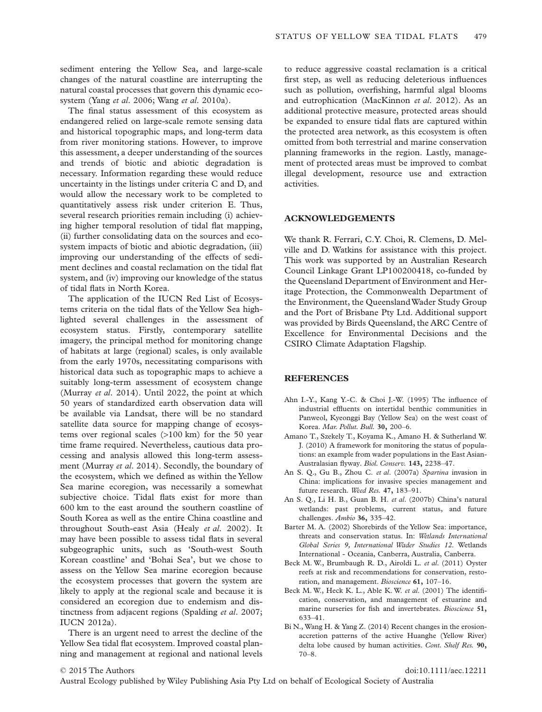sediment entering the Yellow Sea, and large-scale changes of the natural coastline are interrupting the natural coastal processes that govern this dynamic ecosystem (Yang *et al*. 2006; Wang *et al*. 2010a).

The final status assessment of this ecosystem as endangered relied on large-scale remote sensing data and historical topographic maps, and long-term data from river monitoring stations. However, to improve this assessment, a deeper understanding of the sources and trends of biotic and abiotic degradation is necessary. Information regarding these would reduce uncertainty in the listings under criteria C and D, and would allow the necessary work to be completed to quantitatively assess risk under criterion E. Thus, several research priorities remain including (i) achieving higher temporal resolution of tidal flat mapping, (ii) further consolidating data on the sources and ecosystem impacts of biotic and abiotic degradation, (iii) improving our understanding of the effects of sediment declines and coastal reclamation on the tidal flat system, and (iv) improving our knowledge of the status of tidal flats in North Korea.

The application of the IUCN Red List of Ecosystems criteria on the tidal flats of the Yellow Sea highlighted several challenges in the assessment of ecosystem status. Firstly, contemporary satellite imagery, the principal method for monitoring change of habitats at large (regional) scales, is only available from the early 1970s, necessitating comparisons with historical data such as topographic maps to achieve a suitably long-term assessment of ecosystem change (Murray *et al*. 2014). Until 2022, the point at which 50 years of standardized earth observation data will be available via Landsat, there will be no standard satellite data source for mapping change of ecosystems over regional scales (>100 km) for the 50 year time frame required. Nevertheless, cautious data processing and analysis allowed this long-term assessment (Murray *et al*. 2014). Secondly, the boundary of the ecosystem, which we defined as within the Yellow Sea marine ecoregion, was necessarily a somewhat subjective choice. Tidal flats exist for more than 600 km to the east around the southern coastline of South Korea as well as the entire China coastline and throughout South-east Asia (Healy *et al*. 2002). It may have been possible to assess tidal flats in several subgeographic units, such as 'South-west South Korean coastline' and 'Bohai Sea', but we chose to assess on the Yellow Sea marine ecoregion because the ecosystem processes that govern the system are likely to apply at the regional scale and because it is considered an ecoregion due to endemism and distinctness from adjacent regions (Spalding *et al*. 2007; IUCN 2012a).

There is an urgent need to arrest the decline of the Yellow Sea tidal flat ecosystem. Improved coastal planning and management at regional and national levels to reduce aggressive coastal reclamation is a critical first step, as well as reducing deleterious influences such as pollution, overfishing, harmful algal blooms and eutrophication (MacKinnon *et al*. 2012). As an additional protective measure, protected areas should be expanded to ensure tidal flats are captured within the protected area network, as this ecosystem is often omitted from both terrestrial and marine conservation planning frameworks in the region. Lastly, management of protected areas must be improved to combat illegal development, resource use and extraction activities.

### **ACKNOWLEDGEMENTS**

We thank R. Ferrari, C.Y. Choi, R. Clemens, D. Melville and D. Watkins for assistance with this project. This work was supported by an Australian Research Council Linkage Grant LP100200418, co-funded by the Queensland Department of Environment and Heritage Protection, the Commonwealth Department of the Environment, the Queensland Wader Study Group and the Port of Brisbane Pty Ltd. Additional support was provided by Birds Queensland, the ARC Centre of Excellence for Environmental Decisions and the CSIRO Climate Adaptation Flagship.

# **REFERENCES**

- Ahn I.-Y., Kang Y.-C. & Choi J.-W. (1995) The influence of industrial effluents on intertidal benthic communities in Panweol, Kyeonggi Bay (Yellow Sea) on the west coast of Korea. *Mar. Pollut. Bull.* **30,** 200–6.
- Amano T., Szekely T., Koyama K., Amano H. & Sutherland W. J. (2010) A framework for monitoring the status of populations: an example from wader populations in the East Asian-Australasian flyway. *Biol. Conserv.* **143,** 2238–47.
- An S. Q., Gu B., Zhou C. *et al*. (2007a) *Spartina* invasion in China: implications for invasive species management and future research. *Weed Res.* **47,** 183–91.
- An S. Q., Li H. B., Guan B. H. *et al*. (2007b) China's natural wetlands: past problems, current status, and future challenges. *Ambio* **36,** 335–42.
- Barter M. A. (2002) Shorebirds of the Yellow Sea: importance, threats and conservation status. In: *Wetlands International Global Series 9, International Wader Studies 12*. Wetlands International - Oceania, Canberra, Australia, Canberra.
- Beck M. W., Brumbaugh R. D., Airoldi L. *et al*. (2011) Oyster reefs at risk and recommendations for conservation, restoration, and management. *Bioscience* **61,** 107–16.
- Beck M. W., Heck K. L., Able K. W. *et al*. (2001) The identification, conservation, and management of estuarine and marine nurseries for fish and invertebrates. *Bioscience* **51,** 633–41.
- Bi N., Wang H. & Yang Z. (2014) Recent changes in the erosionaccretion patterns of the active Huanghe (Yellow River) delta lobe caused by human activities. *Cont. Shelf Res.* **90,** 70–8.

#### © 2015 The Authors doi:10.1111/aec.12211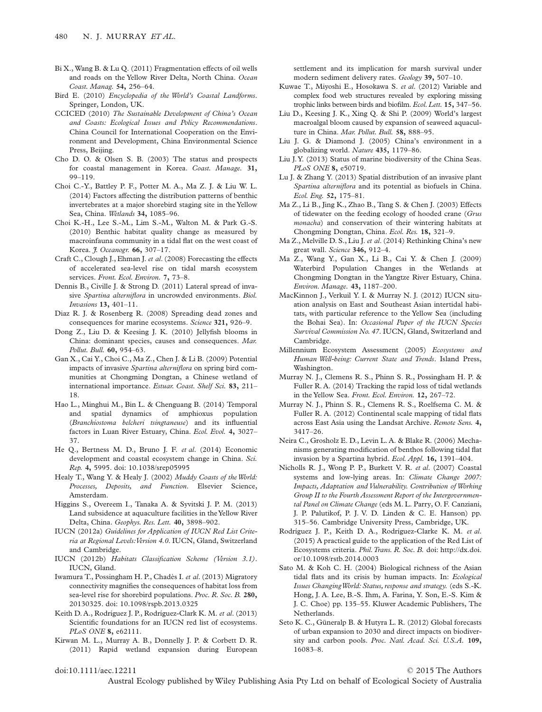- Bi X., Wang B. & Lu Q. (2011) Fragmentation effects of oil wells and roads on the Yellow River Delta, North China. *Ocean Coast. Manag.* **54,** 256–64.
- Bird E. (2010) *Encyclopedia of the World's Coastal Landforms*. Springer, London, UK.
- CCICED (2010) *The Sustainable Development of China's Ocean and Coasts: Ecological Issues and Policy Recommendations*. China Council for International Cooperation on the Environment and Development, China Environmental Science Press, Beijing.
- Cho D. O. & Olsen S. B. (2003) The status and prospects for coastal management in Korea. *Coast. Manage.* **31,** 99–119.
- Choi C.-Y., Battley P. F., Potter M. A., Ma Z. J. & Liu W. L. (2014) Factors affecting the distribution patterns of benthic invertebrates at a major shorebird staging site in the Yellow Sea, China. *Wetlands* **34,** 1085–96.
- Choi K.-H., Lee S.-M., Lim S.-M., Walton M. & Park G.-S. (2010) Benthic habitat quality change as measured by macroinfauna community in a tidal flat on the west coast of Korea. *J. Oceanogr.* **66,** 307–17.
- Craft C., Clough J., Ehman J. *et al*. (2008) Forecasting the effects of accelerated sea-level rise on tidal marsh ecosystem services. *Front. Ecol. Environ.* **7,** 73–8.
- Dennis B., Civille J. & Strong D. (2011) Lateral spread of invasive *Spartina alterniflora* in uncrowded environments. *Biol. Invasions* **13,** 401–11.
- Diaz R. J. & Rosenberg R. (2008) Spreading dead zones and consequences for marine ecosystems. *Science* **321,** 926–9.
- Dong Z., Liu D. & Keesing J. K. (2010) Jellyfish blooms in China: dominant species, causes and consequences. *Mar. Pollut. Bull.* **60,** 954–63.
- Gan X., Cai Y., Choi C., Ma Z., Chen J. & Li B. (2009) Potential impacts of invasive *Spartina alterniflora* on spring bird communities at Chongming Dongtan, a Chinese wetland of international importance. *Estuar. Coast. Shelf Sci.* **83,** 211– 18.
- Hao L., Minghui M., Bin L. & Chenguang B. (2014) Temporal and spatial dynamics of amphioxus population (*Branchiostoma belcheri tsingtaneuse*) and its influential factors in Luan River Estuary, China. *Ecol. Evol.* **4,** 3027– 37.
- He Q., Bertness M. D., Bruno J. F. *et al*. (2014) Economic development and coastal ecosystem change in China. *Sci. Rep.* **4,** 5995. doi: 10.1038/srep05995
- Healy T., Wang Y. & Healy J. (2002) *Muddy Coasts of theWorld: Processes, Deposits, and Function*. Elsevier Science, Amsterdam.
- Higgins S., Overeem I., Tanaka A. & Syvitski J. P. M. (2013) Land subsidence at aquaculture facilities in theYellow River Delta, China. *Geophys. Res. Lett.* **40,** 3898–902.
- IUCN (2012a) *Guidelines for Application of IUCN Red List Criteria at Regional Levels:Version 4.0*. IUCN, Gland, Switzerland and Cambridge.
- IUCN (2012b) *Habitats Classification Scheme (Version 3.1)*. IUCN, Gland.
- Iwamura T., Possingham H. P., Chadès I. *et al*. (2013) Migratory connectivity magnifies the consequences of habitat loss from sea-level rise for shorebird populations. *Proc. R. Soc. B.* **280,** 20130325. doi: 10.1098/rspb.2013.0325
- Keith D. A., Rodríguez J. P., Rodríguez-Clark K. M. *et al*. (2013) Scientific foundations for an IUCN red list of ecosystems. *PLoS ONE* **8,** e62111.
- Kirwan M. L., Murray A. B., Donnelly J. P. & Corbett D. R. (2011) Rapid wetland expansion during European

settlement and its implication for marsh survival under modern sediment delivery rates. *Geology* **39,** 507–10.

- Kuwae T., Miyoshi E., Hosokawa S. *et al*. (2012) Variable and complex food web structures revealed by exploring missing trophic links between birds and biofilm. *Ecol.Lett.* **15,** 347–56.
- Liu D., Keesing J. K., Xing Q. & Shi P. (2009) World's largest macroalgal bloom caused by expansion of seaweed aquaculture in China. *Mar. Pollut. Bull.* **58,** 888–95.
- Liu J. G. & Diamond J. (2005) China's environment in a globalizing world. *Nature* **435,** 1179–86.
- Liu J.Y. (2013) Status of marine biodiversity of the China Seas. *PLoS ONE* **8,** e50719.
- Lu J. & Zhang Y. (2013) Spatial distribution of an invasive plant *Spartina alterniflora* and its potential as biofuels in China. *Ecol. Eng.* **52,** 175–81.
- Ma Z., Li B., Jing K., Zhao B., Tang S. & Chen J. (2003) Effects of tidewater on the feeding ecology of hooded crane (*Grus monacha*) and conservation of their wintering habitats at Chongming Dongtan, China. *Ecol. Res.* **18,** 321–9.
- Ma Z., Melville D. S., Liu J. *et al*. (2014) Rethinking China's new great wall. *Science* **346,** 912–4.
- Ma Z., Wang Y., Gan X., Li B., Cai Y. & Chen J. (2009) Waterbird Population Changes in the Wetlands at Chongming Dongtan in the Yangtze River Estuary, China. *Environ. Manage.* **43,** 1187–200.
- MacKinnon J., Verkuil Y. I. & Murray N. J. (2012) IUCN situation analysis on East and Southeast Asian intertidal habitats, with particular reference to the Yellow Sea (including the Bohai Sea). In: *Occasional Paper of the IUCN Species Survival Commission No. 47*. IUCN, Gland, Switzerland and Cambridge.
- Millennium Ecosystem Assessment (2005) *Ecosystems and Human Well-being: Current State and Trends*. Island Press, Washington.
- Murray N. J., Clemens R. S., Phinn S. R., Possingham H. P. & Fuller R. A. (2014) Tracking the rapid loss of tidal wetlands in the Yellow Sea. *Front. Ecol. Environ.* **12,** 267–72.
- Murray N. J., Phinn S. R., Clemens R. S., Roelfsema C. M. & Fuller R. A. (2012) Continental scale mapping of tidal flats across East Asia using the Landsat Archive. *Remote Sens.* **4,** 3417–26.
- Neira C., Grosholz E. D., Levin L. A. & Blake R. (2006) Mechanisms generating modification of benthos following tidal flat invasion by a Spartina hybrid. *Ecol. Appl.* **16,** 1391–404.
- Nicholls R. J., Wong P. P., Burkett V. R. *et al*. (2007) Coastal systems and low-lying areas. In: *Climate Change 2007: Impacts, Adaptation and Vulnerability. Contribution of Working Group II to the Fourth Assessment Report of the Intergovernmental Panel on Climate Change* (eds M. L. Parry, O. F. Canziani, J. P. Palutikof, P. J. V. D. Linden & C. E. Hanson) pp. 315–56. Cambridge University Press, Cambridge, UK.
- Rodríguez J. P., Keith D. A., Rodríguez-Clarke K. M. *et al*. (2015) A practical guide to the application of the Red List of Ecosystems criteria. *Phil.Trans. R. Soc. B.* doi: http://dx.doi. or/10.1098/rstb.2014.0003
- Sato M. & Koh C. H. (2004) Biological richness of the Asian tidal flats and its crisis by human impacts. In: *Ecological Issues ChangingWorld: Status, response and strategy.* (eds S.-K. Hong, J. A. Lee, B.-S. Ihm, A. Farina, Y. Son, E.-S. Kim & J. C. Choe) pp. 135–55. Kluwer Academic Publishers, The Netherlands.
- Seto K. C., Güneralp B. & Hutyra L. R. (2012) Global forecasts of urban expansion to 2030 and direct impacts on biodiversity and carbon pools. *Proc. Natl. Acad. Sci. U.S.A.* **109,** 16083–8.